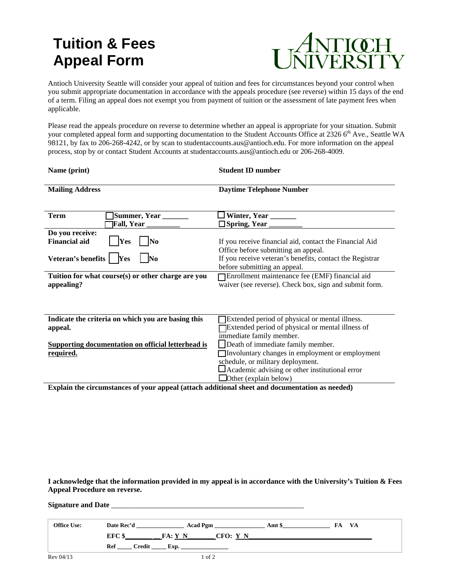# **Tuition & Fees Appeal Form**



Antioch University Seattle will consider your appeal of tuition and fees for circumstances beyond your control when you submit appropriate documentation in accordance with the appeals procedure (see reverse) within 15 days of the end of a term. Filing an appeal does not exempt you from payment of tuition or the assessment of late payment fees when applicable.

Please read the appeals procedure on reverse to determine whether an appeal is appropriate for your situation. Submit your completed appeal form and supporting documentation to the Student Accounts Office at 2326 6<sup>th</sup> Ave., Seattle WA 98121, by fax to 206-268-4242, or by scan to studentaccounts.aus@antioch.edu. For more information on the appeal process, stop by or contact Student Accounts at studentaccounts.aus@antioch.edu or 206-268-4009.

| Name (print)                                                                                           | <b>Student ID number</b>                                                                                                                                                                                    |
|--------------------------------------------------------------------------------------------------------|-------------------------------------------------------------------------------------------------------------------------------------------------------------------------------------------------------------|
| <b>Mailing Address</b>                                                                                 | <b>Daytime Telephone Number</b>                                                                                                                                                                             |
| Summer, Year _______<br><b>Term</b><br><b>Fall, Year</b> ________                                      | ] Winter, Year _____                                                                                                                                                                                        |
| Do you receive:<br><b>Financial aid</b><br><b>Yes</b><br>N0<br>Veteran's benefits<br><b>Yes</b><br>No. | If you receive financial aid, contact the Financial Aid<br>Office before submitting an appeal.<br>If you receive veteran's benefits, contact the Registrar<br>before submitting an appeal.                  |
| Tuition for what course(s) or other charge are you<br>appealing?                                       | Enrollment maintenance fee (EMF) financial aid<br>waiver (see reverse). Check box, sign and submit form.                                                                                                    |
| Indicate the criteria on which you are basing this<br>appeal.                                          | Extended period of physical or mental illness.<br>Extended period of physical or mental illness of<br>immediate family member.                                                                              |
| <b>Supporting documentation on official letterhead is</b><br>required.                                 | Death of immediate family member.<br>Involuntary changes in employment or employment<br>schedule, or military deployment.<br>Academic advising or other institutional error<br>$\Box$ Other (explain below) |

**Explain the circumstances of your appeal (attach additional sheet and documentation as needed)**

**I acknowledge that the information provided in my appeal is in accordance with the University's Tuition & Fees Appeal Procedure on reverse.**

## **Signature and Date** \_\_\_\_\_\_\_\_\_\_\_\_\_\_\_\_\_\_\_\_\_\_\_\_\_\_\_\_\_\_\_\_\_\_\_\_\_\_\_\_\_\_\_\_\_\_\_\_\_\_\_\_

| <b>Office Use:</b> | Date Rec'd        | <b>Acad Pgm</b> |          | Amt \$ | <b>VA</b><br>ŧА |
|--------------------|-------------------|-----------------|----------|--------|-----------------|
|                    | EFC <sub>\$</sub> | FA:Y N          | CFO: Y N |        |                 |
|                    | Credit<br>Ref     | Exp.            |          |        |                 |
| Rev 04/13          |                   |                 | of 2     |        |                 |